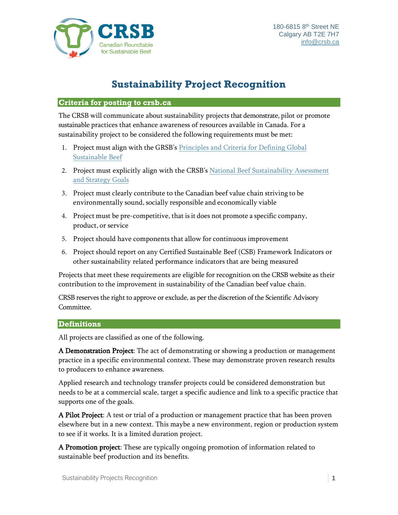

## **Sustainability Project Recognition**

## **Criteria for posting to crsb.ca**

The CRSB will communicate about sustainability projects that demonstrate, pilot or promote sustainable practices that enhance awareness of resources available in Canada. For a sustainability project to be considered the following requirements must be met:

- 1. Project must align with the GRSB's [Principles and Criteria for Defining Global](https://grsbeef.org/resources/Pictures/2017%20Template%20Graphics/grsb_principles_and_criteria_for_global_sustainable_beef_2016_logo%20(6).pdf) [Sustainable Beef](https://grsbeef.org/resources/Pictures/2017%20Template%20Graphics/grsb_principles_and_criteria_for_global_sustainable_beef_2016_logo%20(6).pdf)
- 2. Project must explicitly align with the CRSB's [National Beef Sustainability Assessment](https://crsb.ca/sustainability-benchmark/) [and Strategy Goals](https://crsb.ca/sustainability-benchmark/)
- 3. Project must clearly contribute to the Canadian beef value chain striving to be environmentally sound, socially responsible and economically viable
- 4. Project must be pre-competitive, that is it does not promote a specific company, product, or service
- 5. Project should have components that allow for continuous improvement
- 6. Project should report on any Certified Sustainable Beef (CSB) Framework Indicators or other sustainability related performance indicators that are being measured

Projects that meet these requirements are eligible for recognition on the CRSB website as their contribution to the improvement in sustainability of the Canadian beef value chain.

CRSB reserves the right to approve or exclude, as per the discretion of the Scientific Advisory Committee.

## **Definitions**

All projects are classified as one of the following.

A Demonstration Project: The act of demonstrating or showing a production or management practice in a specific environmental context. These may demonstrate proven research results to producers to enhance awareness.

Applied research and technology transfer projects could be considered demonstration but needs to be at a commercial scale, target a specific audience and link to a specific practice that supports one of the goals.

A Pilot Project: A test or trial of a production or management practice that has been proven elsewhere but in a new context. This maybe a new environment, region or production system to see if it works. It is a limited duration project.

A Promotion project: These are typically ongoing promotion of information related to sustainable beef production and its benefits.